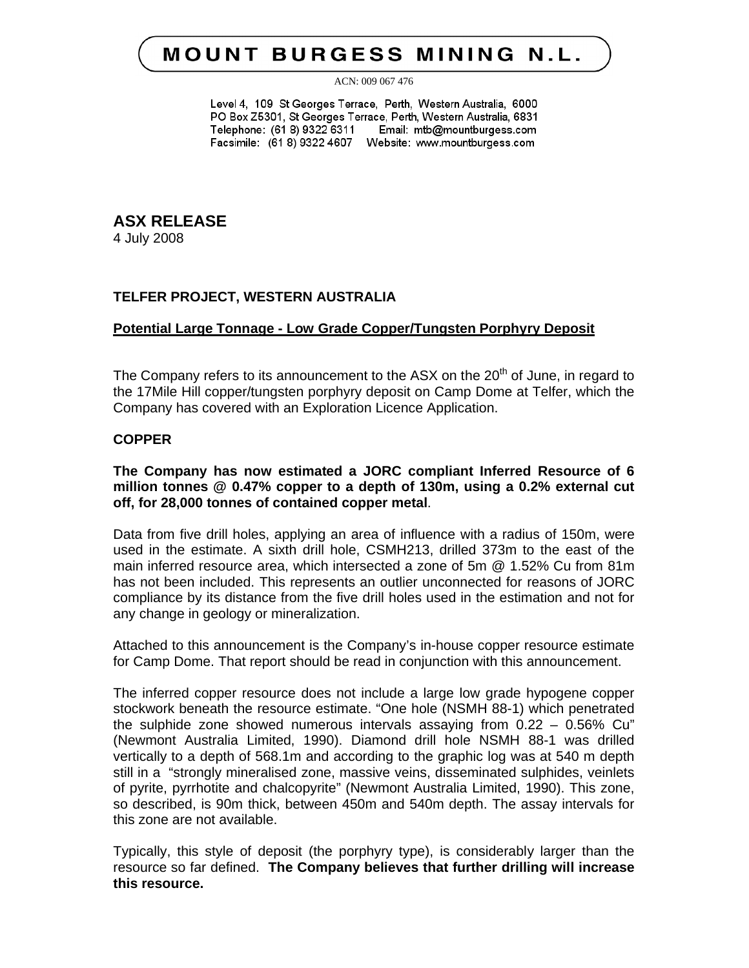# **MOUNT BURGESS MINING N.L.**

ACN: 009 067 476

Level 4, 109 St Georges Terrace, Perth, Western Australia, 6000 PO Box Z5301, St Georges Terrace, Perth, Western Australia, 6831 Telephone: (61 8) 9322 6311 Email: mtb@mountburgess.com Facsimile: (61 8) 9322 4607 Website: www.mountburgess.com

**ASX RELEASE** 4 July 2008

## **TELFER PROJECT, WESTERN AUSTRALIA**

## **Potential Large Tonnage - Low Grade Copper/Tungsten Porphyry Deposit**

The Company refers to its announcement to the ASX on the  $20<sup>th</sup>$  of June, in regard to the 17Mile Hill copper/tungsten porphyry deposit on Camp Dome at Telfer, which the Company has covered with an Exploration Licence Application.

## **COPPER**

## **The Company has now estimated a JORC compliant Inferred Resource of 6 million tonnes @ 0.47% copper to a depth of 130m, using a 0.2% external cut off, for 28,000 tonnes of contained copper metal**.

Data from five drill holes, applying an area of influence with a radius of 150m, were used in the estimate. A sixth drill hole, CSMH213, drilled 373m to the east of the main inferred resource area, which intersected a zone of 5m @ 1.52% Cu from 81m has not been included. This represents an outlier unconnected for reasons of JORC compliance by its distance from the five drill holes used in the estimation and not for any change in geology or mineralization.

Attached to this announcement is the Company's in-house copper resource estimate for Camp Dome. That report should be read in conjunction with this announcement.

The inferred copper resource does not include a large low grade hypogene copper stockwork beneath the resource estimate. "One hole (NSMH 88-1) which penetrated the sulphide zone showed numerous intervals assaying from 0.22 – 0.56% Cu" (Newmont Australia Limited, 1990). Diamond drill hole NSMH 88-1 was drilled vertically to a depth of 568.1m and according to the graphic log was at 540 m depth still in a "strongly mineralised zone, massive veins, disseminated sulphides, veinlets of pyrite, pyrrhotite and chalcopyrite" (Newmont Australia Limited, 1990). This zone, so described, is 90m thick, between 450m and 540m depth. The assay intervals for this zone are not available.

Typically, this style of deposit (the porphyry type), is considerably larger than the resource so far defined. **The Company believes that further drilling will increase this resource.**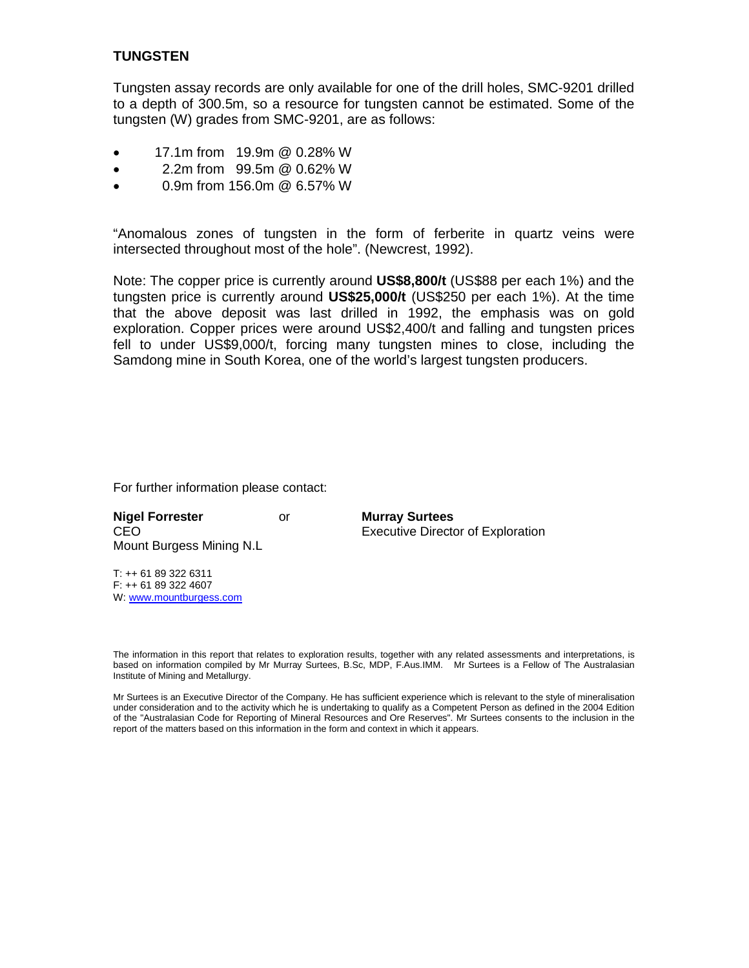## **TUNGSTEN**

Tungsten assay records are only available for one of the drill holes, SMC-9201 drilled to a depth of 300.5m, so a resource for tungsten cannot be estimated. Some of the tungsten (W) grades from SMC-9201, are as follows:

- 17.1m from 19.9m @ 0.28% W
- 2.2m from 99.5m @ 0.62% W
- 0.9m from 156.0m @ 6.57% W

"Anomalous zones of tungsten in the form of ferberite in quartz veins were intersected throughout most of the hole". (Newcrest, 1992).

Note: The copper price is currently around **US\$8,800/t** (US\$88 per each 1%) and the tungsten price is currently around **US\$25,000/t** (US\$250 per each 1%). At the time that the above deposit was last drilled in 1992, the emphasis was on gold exploration. Copper prices were around US\$2,400/t and falling and tungsten prices fell to under US\$9,000/t, forcing many tungsten mines to close, including the Samdong mine in South Korea, one of the world's largest tungsten producers.

For further information please contact:

**Nigel Forrester** or **Murray Surtees** Mount Burgess Mining N.L

CEO Executive Director of Exploration

T: ++ 61 89 322 6311 F: ++ 61 89 322 4607 W: www.mountburgess.com

The information in this report that relates to exploration results, together with any related assessments and interpretations, is based on information compiled by Mr Murray Surtees, B.Sc, MDP, F.Aus.IMM. Mr Surtees is a Fellow of The Australasian Institute of Mining and Metallurgy.

Mr Surtees is an Executive Director of the Company. He has sufficient experience which is relevant to the style of mineralisation under consideration and to the activity which he is undertaking to qualify as a Competent Person as defined in the 2004 Edition of the "Australasian Code for Reporting of Mineral Resources and Ore Reserves". Mr Surtees consents to the inclusion in the report of the matters based on this information in the form and context in which it appears.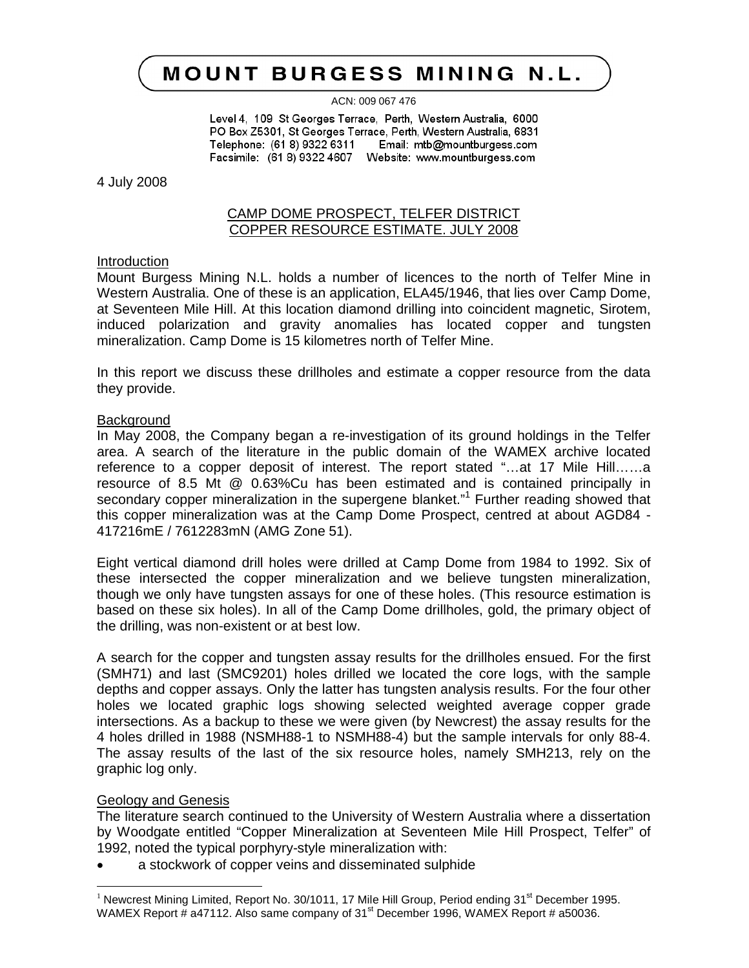# MOUNT BURGESS MINING N.L.

ACN: 009 067 476

Level 4, 109 St Georges Terrace, Perth, Western Australia, 6000 PO Box Z5301, St Georges Terrace, Perth, Western Australia, 6831 Telephone: (61 8) 9322 6311 Email: mtb@mountburgess.com Facsimile: (61 8) 9322 4607 Website: www.mountburgess.com

4 July 2008

## CAMP DOME PROSPECT, TELFER DISTRICT COPPER RESOURCE ESTIMATE. JULY 2008

#### Introduction

Mount Burgess Mining N.L. holds a number of licences to the north of Telfer Mine in Western Australia. One of these is an application, ELA45/1946, that lies over Camp Dome, at Seventeen Mile Hill. At this location diamond drilling into coincident magnetic, Sirotem, induced polarization and gravity anomalies has located copper and tungsten mineralization. Camp Dome is 15 kilometres north of Telfer Mine.

In this report we discuss these drillholes and estimate a copper resource from the data they provide.

#### **Background**

In May 2008, the Company began a re-investigation of its ground holdings in the Telfer area. A search of the literature in the public domain of the WAMEX archive located reference to a copper deposit of interest. The report stated "…at 17 Mile Hill……a resource of 8.5 Mt @ 0.63%Cu has been estimated and is contained principally in secondary copper mineralization in the supergene blanket."<sup>1</sup> Further reading showed that this copper mineralization was at the Camp Dome Prospect, centred at about AGD84 - 417216mE / 7612283mN (AMG Zone 51).

Eight vertical diamond drill holes were drilled at Camp Dome from 1984 to 1992. Six of these intersected the copper mineralization and we believe tungsten mineralization, though we only have tungsten assays for one of these holes. (This resource estimation is based on these six holes). In all of the Camp Dome drillholes, gold, the primary object of the drilling, was non-existent or at best low.

A search for the copper and tungsten assay results for the drillholes ensued. For the first (SMH71) and last (SMC9201) holes drilled we located the core logs, with the sample depths and copper assays. Only the latter has tungsten analysis results. For the four other holes we located graphic logs showing selected weighted average copper grade intersections. As a backup to these we were given (by Newcrest) the assay results for the 4 holes drilled in 1988 (NSMH88-1 to NSMH88-4) but the sample intervals for only 88-4. The assay results of the last of the six resource holes, namely SMH213, rely on the graphic log only.

#### Geology and Genesis

 $\overline{a}$ 

The literature search continued to the University of Western Australia where a dissertation by Woodgate entitled "Copper Mineralization at Seventeen Mile Hill Prospect, Telfer" of 1992, noted the typical porphyry-style mineralization with:

a stockwork of copper veins and disseminated sulphide

<sup>&</sup>lt;sup>1</sup> Newcrest Mining Limited, Report No. 30/1011, 17 Mile Hill Group, Period ending 31<sup>st</sup> December 1995. WAMEX Report # a47112. Also same company of  $31<sup>st</sup>$  December 1996, WAMEX Report # a50036.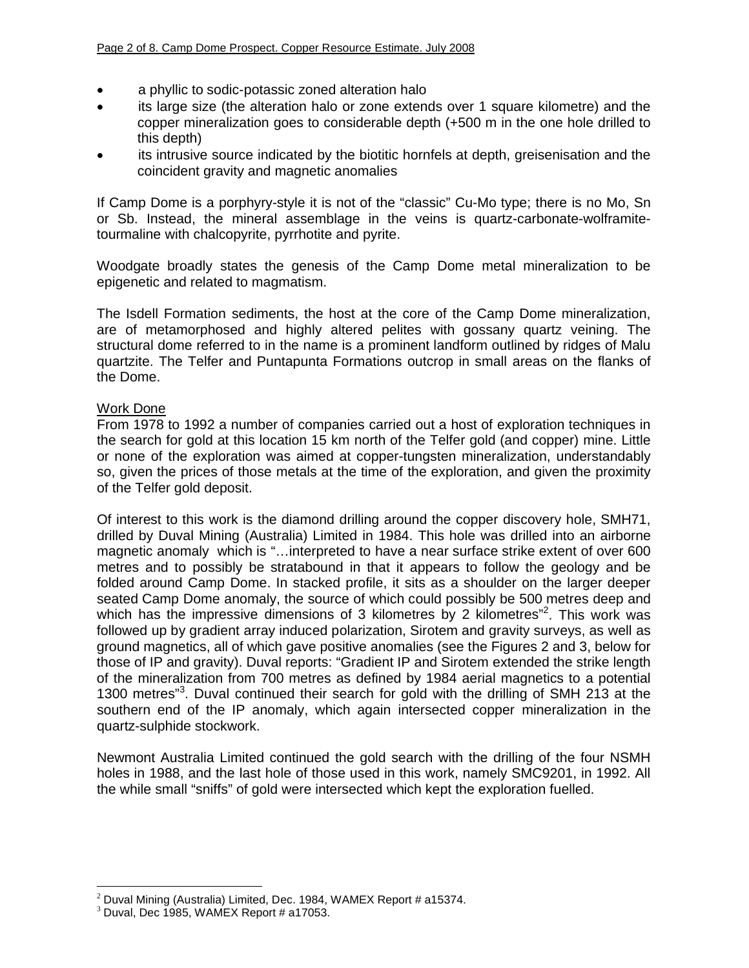- a phyllic to sodic-potassic zoned alteration halo
- its large size (the alteration halo or zone extends over 1 square kilometre) and the copper mineralization goes to considerable depth (+500 m in the one hole drilled to this depth)
- its intrusive source indicated by the biotitic hornfels at depth, greisenisation and the coincident gravity and magnetic anomalies

If Camp Dome is a porphyry-style it is not of the "classic" Cu-Mo type; there is no Mo, Sn or Sb. Instead, the mineral assemblage in the veins is quartz-carbonate-wolframitetourmaline with chalcopyrite, pyrrhotite and pyrite.

Woodgate broadly states the genesis of the Camp Dome metal mineralization to be epigenetic and related to magmatism.

The Isdell Formation sediments, the host at the core of the Camp Dome mineralization, are of metamorphosed and highly altered pelites with gossany quartz veining. The structural dome referred to in the name is a prominent landform outlined by ridges of Malu quartzite. The Telfer and Puntapunta Formations outcrop in small areas on the flanks of the Dome.

## Work Done

From 1978 to 1992 a number of companies carried out a host of exploration techniques in the search for gold at this location 15 km north of the Telfer gold (and copper) mine. Little or none of the exploration was aimed at copper-tungsten mineralization, understandably so, given the prices of those metals at the time of the exploration, and given the proximity of the Telfer gold deposit.

Of interest to this work is the diamond drilling around the copper discovery hole, SMH71, drilled by Duval Mining (Australia) Limited in 1984. This hole was drilled into an airborne magnetic anomaly which is "…interpreted to have a near surface strike extent of over 600 metres and to possibly be stratabound in that it appears to follow the geology and be folded around Camp Dome. In stacked profile, it sits as a shoulder on the larger deeper seated Camp Dome anomaly, the source of which could possibly be 500 metres deep and which has the impressive dimensions of 3 kilometres by 2 kilometres"<sup>2</sup>. This work was followed up by gradient array induced polarization, Sirotem and gravity surveys, as well as ground magnetics, all of which gave positive anomalies (see the Figures 2 and 3, below for those of IP and gravity). Duval reports: "Gradient IP and Sirotem extended the strike length of the mineralization from 700 metres as defined by 1984 aerial magnetics to a potential 1300 metres"<sup>3</sup>. Duval continued their search for gold with the drilling of SMH 213 at the southern end of the IP anomaly, which again intersected copper mineralization in the quartz-sulphide stockwork.

Newmont Australia Limited continued the gold search with the drilling of the four NSMH holes in 1988, and the last hole of those used in this work, namely SMC9201, in 1992. All the while small "sniffs" of gold were intersected which kept the exploration fuelled.

 $\overline{\phantom{a}}$ 

 $2$  Duval Mining (Australia) Limited, Dec. 1984, WAMEX Report # a15374.

 $3$  Duval, Dec 1985, WAMEX Report # a17053.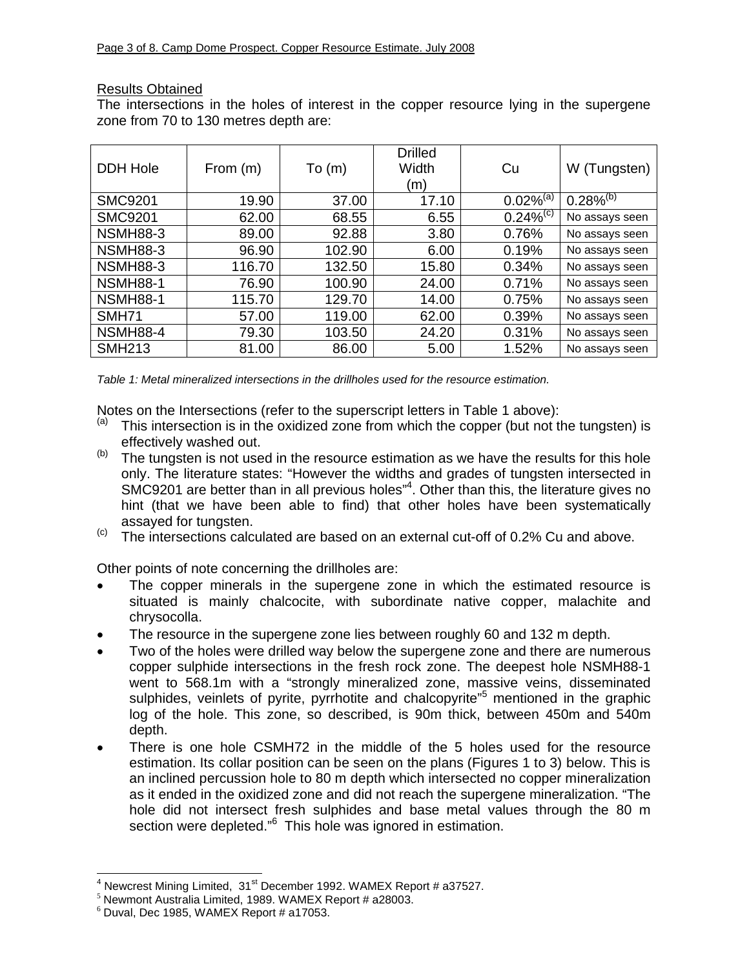## Results Obtained

The intersections in the holes of interest in the copper resource lying in the supergene zone from 70 to 130 metres depth are:

| <b>DDH Hole</b> | From $(m)$ | To(m)  | <b>Drilled</b><br><b>Width</b><br>(m) | Cu             | W (Tungsten)   |
|-----------------|------------|--------|---------------------------------------|----------------|----------------|
| <b>SMC9201</b>  | 19.90      | 37.00  | 17.10                                 | $0.02\%^{(a)}$ | $0.28\%^{(b)}$ |
| <b>SMC9201</b>  | 62.00      | 68.55  | 6.55                                  | $0.24\%^{(c)}$ | No assays seen |
| <b>NSMH88-3</b> | 89.00      | 92.88  | 3.80                                  | 0.76%          | No assays seen |
| <b>NSMH88-3</b> | 96.90      | 102.90 | 6.00                                  | 0.19%          | No assays seen |
| <b>NSMH88-3</b> | 116.70     | 132.50 | 15.80                                 | 0.34%          | No assays seen |
| <b>NSMH88-1</b> | 76.90      | 100.90 | 24.00                                 | 0.71%          | No assays seen |
| <b>NSMH88-1</b> | 115.70     | 129.70 | 14.00                                 | 0.75%          | No assays seen |
| <b>SMH71</b>    | 57.00      | 119.00 | 62.00                                 | 0.39%          | No assays seen |
| <b>NSMH88-4</b> | 79.30      | 103.50 | 24.20                                 | 0.31%          | No assays seen |
| <b>SMH213</b>   | 81.00      | 86.00  | 5.00                                  | 1.52%          | No assays seen |

*Table 1: Metal mineralized intersections in the drillholes used for the resource estimation.*

Notes on the Intersections (refer to the superscript letters in Table 1 above):

- $(a)$  This intersection is in the oxidized zone from which the copper (but not the tungsten) is
- effectively washed out.<br>(b) The tungsten is not used in the resource estimation as we have the results for this hole only. The literature states: "However the widths and grades of tungsten intersected in SMC9201 are better than in all previous holes"<sup>4</sup>. Other than this, the literature gives no hint (that we have been able to find) that other holes have been systematically assayed for tungsten.<br>
<sup>(c)</sup> The intersections calculated are based on an external cut-off of 0.2% Cu and above.
- 

Other points of note concerning the drillholes are:

- The copper minerals in the supergene zone in which the estimated resource is situated is mainly chalcocite, with subordinate native copper, malachite and chrysocolla.
- The resource in the supergene zone lies between roughly 60 and 132 m depth.
- Two of the holes were drilled way below the supergene zone and there are numerous copper sulphide intersections in the fresh rock zone. The deepest hole NSMH88-1 went to 568.1m with a "strongly mineralized zone, massive veins, disseminated sulphides, veinlets of pyrite, pyrrhotite and chalcopyrite<sup>"5</sup> mentioned in the graphic log of the hole. This zone, so described, is 90m thick, between 450m and 540m depth.
- There is one hole CSMH72 in the middle of the 5 holes used for the resource estimation. Its collar position can be seen on the plans (Figures 1 to 3) below. This is an inclined percussion hole to 80 m depth which intersected no copper mineralization as it ended in the oxidized zone and did not reach the supergene mineralization. "The hole did not intersect fresh sulphides and base metal values through the 80 m section were depleted."<sup>6</sup> This hole was ignored in estimation.

 $\overline{a}$ 

<sup>&</sup>lt;sup>4</sup> Newcrest Mining Limited,  $31<sup>st</sup>$  December 1992. WAMEX Report # a37527.<br><sup>5</sup> Newmont Australia Limited, 1989. WAMEX Report # a28003.

 $6$  Duval, Dec 1985, WAMEX Report # a17053.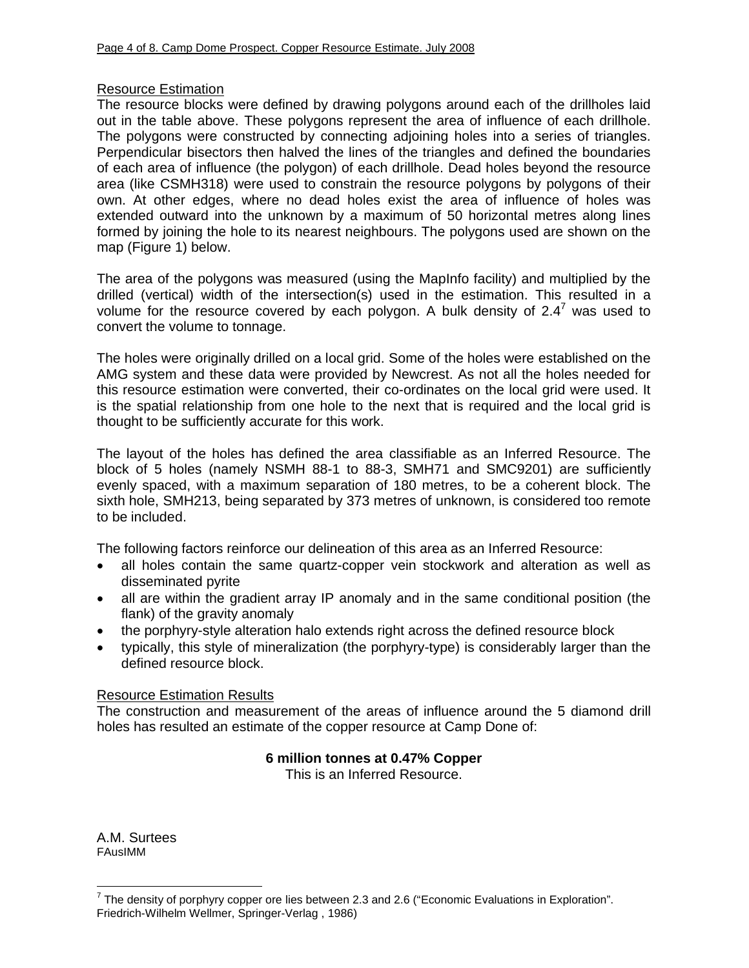## Resource Estimation

The resource blocks were defined by drawing polygons around each of the drillholes laid out in the table above. These polygons represent the area of influence of each drillhole. The polygons were constructed by connecting adjoining holes into a series of triangles. Perpendicular bisectors then halved the lines of the triangles and defined the boundaries of each area of influence (the polygon) of each drillhole. Dead holes beyond the resource area (like CSMH318) were used to constrain the resource polygons by polygons of their own. At other edges, where no dead holes exist the area of influence of holes was extended outward into the unknown by a maximum of 50 horizontal metres along lines formed by joining the hole to its nearest neighbours. The polygons used are shown on the map (Figure 1) below.

The area of the polygons was measured (using the MapInfo facility) and multiplied by the drilled (vertical) width of the intersection(s) used in the estimation. This resulted in a volume for the resource covered by each polygon. A bulk density of 2.4<sup>7</sup> was used to convert the volume to tonnage.

The holes were originally drilled on a local grid. Some of the holes were established on the AMG system and these data were provided by Newcrest. As not all the holes needed for this resource estimation were converted, their co-ordinates on the local grid were used. It is the spatial relationship from one hole to the next that is required and the local grid is thought to be sufficiently accurate for this work.

The layout of the holes has defined the area classifiable as an Inferred Resource. The block of 5 holes (namely NSMH 88-1 to 88-3, SMH71 and SMC9201) are sufficiently evenly spaced, with a maximum separation of 180 metres, to be a coherent block. The sixth hole, SMH213, being separated by 373 metres of unknown, is considered too remote to be included.

The following factors reinforce our delineation of this area as an Inferred Resource:

- all holes contain the same quartz-copper vein stockwork and alteration as well as disseminated pyrite
- all are within the gradient array IP anomaly and in the same conditional position (the flank) of the gravity anomaly
- the porphyry-style alteration halo extends right across the defined resource block
- typically, this style of mineralization (the porphyry-type) is considerably larger than the defined resource block.

## Resource Estimation Results

The construction and measurement of the areas of influence around the 5 diamond drill holes has resulted an estimate of the copper resource at Camp Done of:

## **6 million tonnes at 0.47% Copper**

This is an Inferred Resource.

A.M. Surtees FAusIMM

 $\overline{a}$ 

<sup>&</sup>lt;sup>7</sup> The density of porphyry copper ore lies between 2.3 and 2.6 ("Economic Evaluations in Exploration". Friedrich-Wilhelm Wellmer, Springer-Verlag , 1986)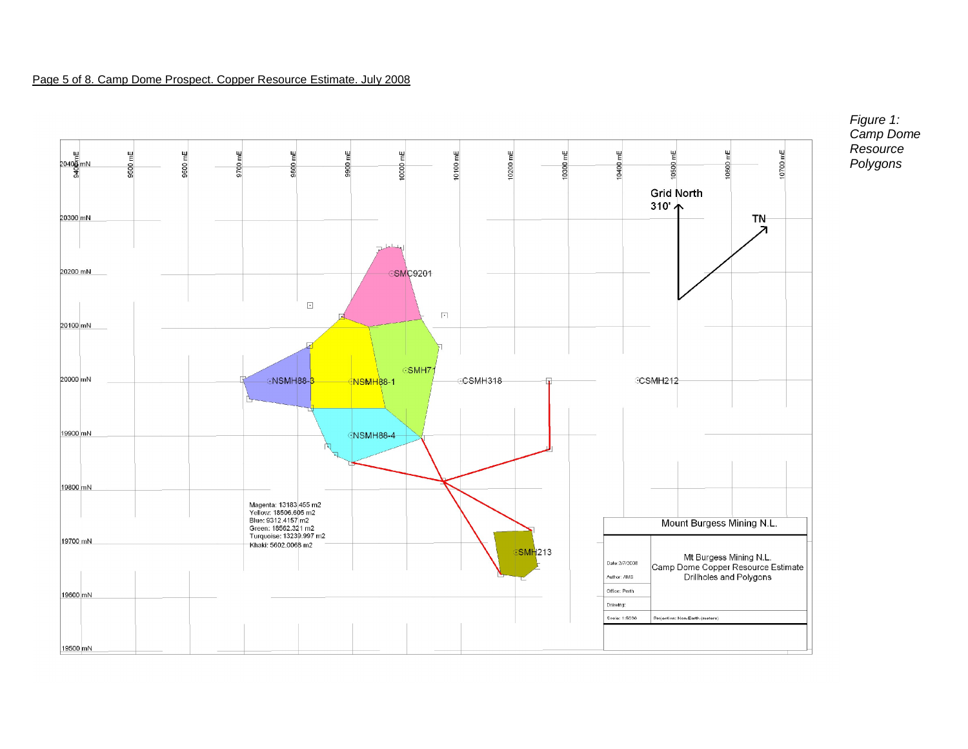#### Page 5 of 8. Camp Dome Prospect. Copper Resource Estimate. July 2008



*Figure 1: Camp Dome Resource Polygons*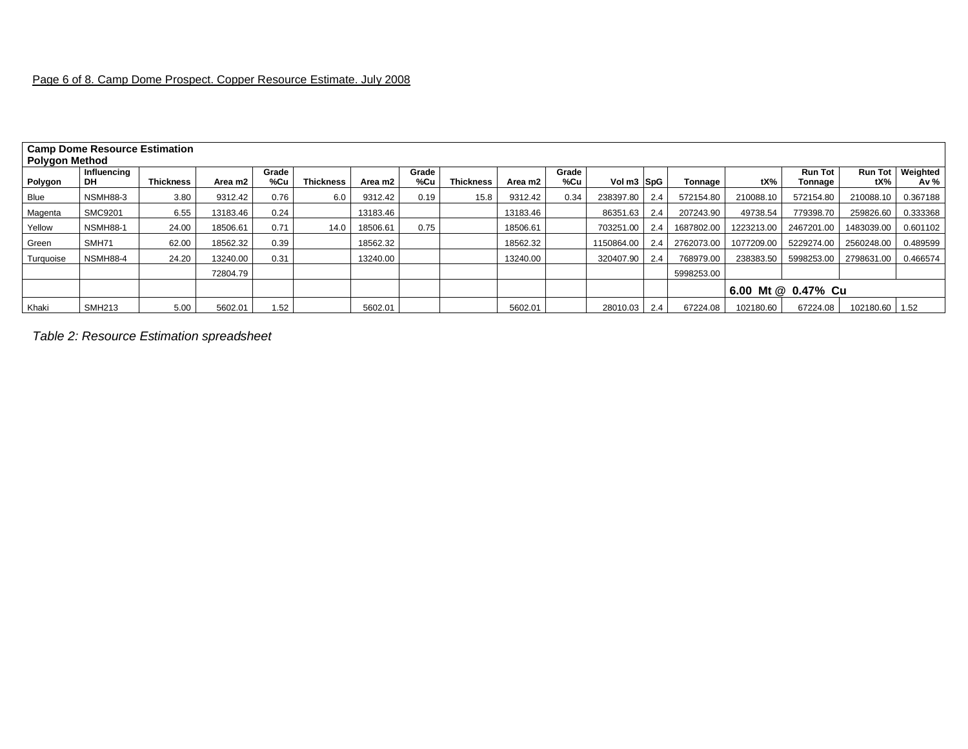| <b>Camp Dome Resource Estimation</b><br><b>Polygon Method</b> |                          |                  |          |                   |                  |          |              |                  |          |              |              |     |            |                    |                           |                |                              |  |
|---------------------------------------------------------------|--------------------------|------------------|----------|-------------------|------------------|----------|--------------|------------------|----------|--------------|--------------|-----|------------|--------------------|---------------------------|----------------|------------------------------|--|
| Polygon                                                       | Influencing<br><b>DH</b> | <b>Thickness</b> | Area m2  | Grade<br>%Cu      | <b>Thickness</b> | Area m2  | Grade<br>%Cu | <b>Thickness</b> | Area m2  | Grade<br>%Cu | Vol m3 SpG   |     | Tonnage    | tX%                | <b>Run Tot</b><br>Tonnage | tX%            | Run Tot   Weighted<br>Av $%$ |  |
| Blue                                                          | <b>NSMH88-3</b>          | 3.80             | 9312.42  | 0.76              | 6.0              | 9312.42  | 0.19         | 15.8             | 9312.42  | 0.34         | 238397.80    | 2.4 | 572154.80  | 210088.10          | 572154.80                 | 210088.10      | 0.367188                     |  |
| Magenta                                                       | <b>SMC9201</b>           | 6.55             | 13183.46 | 0.24              |                  | 13183.46 |              |                  | 13183.46 |              | 86351.63     | 2.4 | 207243.90  | 49738.54           | 779398.70                 | 259826.60      | 0.333368                     |  |
| Yellow                                                        | <b>NSMH88-1</b>          | 24.00            | 18506.61 | 0.71              | 14.0             | 18506.61 | 0.75         |                  | 18506.61 |              | 703251.00    | 2.4 | 1687802.00 | 1223213.00         | 2467201.00                | 1483039.00     | 0.601102                     |  |
| Green                                                         | SMH71                    | 62.00            | 18562.32 | 0.39              |                  | 18562.32 |              |                  | 18562.32 |              | 1150864.00   | 2.4 | 2762073.00 | 1077209.00         | 5229274.00                | 2560248.00     | 0.489599                     |  |
| Turquoise                                                     | <b>NSMH88-4</b>          | 24.20            | 13240.00 | 0.31              |                  | 13240.00 |              |                  | 13240.00 |              | 320407.90    | 2.4 | 768979.00  | 238383.50          | 5998253.00                | 2798631.00     | 0.466574                     |  |
|                                                               |                          |                  | 72804.79 |                   |                  |          |              |                  |          |              |              |     | 5998253.00 |                    |                           |                |                              |  |
|                                                               |                          |                  |          |                   |                  |          |              |                  |          |              |              |     |            | 6.00 Mt @ 0.47% Cu |                           |                |                              |  |
| Khaki                                                         | <b>SMH213</b>            | 5.00             | 5602.01  | 1.52 <sub>1</sub> |                  | 5602.01  |              |                  | 5602.01  |              | 28010.03 2.4 |     | 67224.08   | 102180.60          | 67224.08                  | 102180.60 1.52 |                              |  |

*Table 2: Resource Estimation spreadsheet*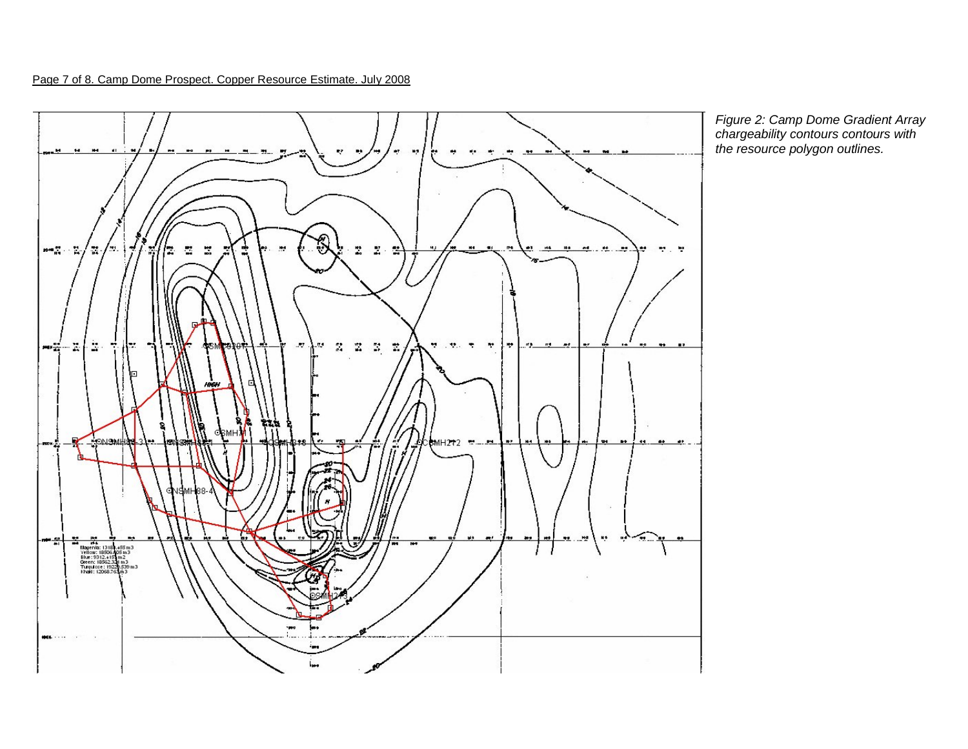Page 7 of 8. Camp Dome Prospect. Copper Resource Estimate. July 2008



*Figure 2: Camp Dome Gradient Array chargeability contours contours with the resource polygon outlines.*